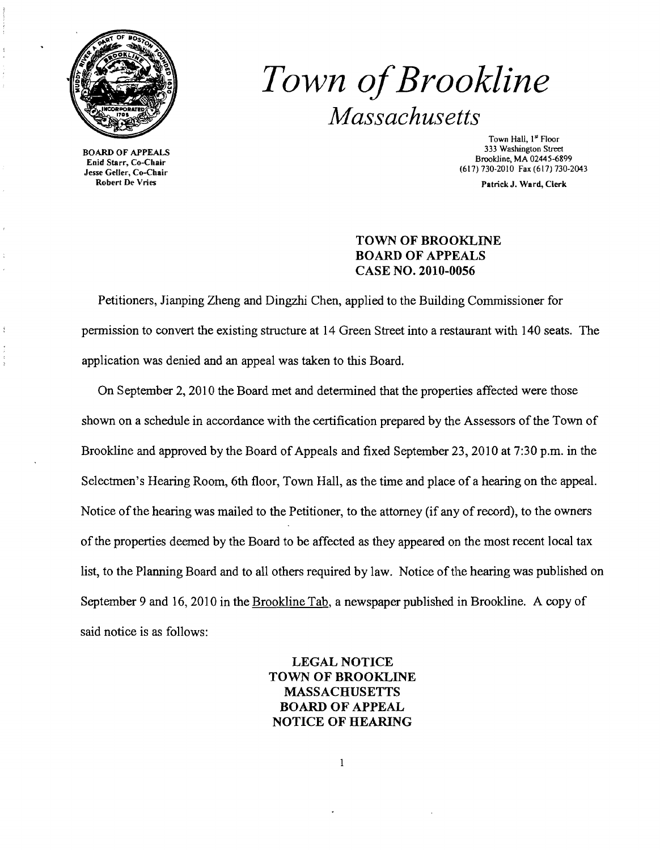

**3333 BOARD OF APPEALS**<br>534 Enid Starr, Co-Chair Enid Starr, Co-Chair<br>
Jesse Geller, Co-Chair<br>
Robert De Vries Patrick I Ward Clerk

ł

## *Town ofBrookline Massachusetts*

Town Hall, 1<sup>st</sup> Floor<br>333 Washington Street Brookline, MA 02445-6899

Patrick J. Ward, Clerk

## TOWN OF BROOKLINE BOARD OF APPEALS CASE NO. 2010-0056

Petitioners, Jianping Zheng and Dingzhi Chen, applied to the Building Commissioner for pennission to convert the existing structure at 14 Green Street into a restaurant with 140 seats. The application was denied and an appeal was taken to this Board.

On September 2, 2010 the Board met and detennined that the properties affected were those shown on a schedule in accordance with the certification prepared by the Assessors of the Town of Brookline and approved by the Board of Appeals and fixed September 23,2010 at 7:30 p.m. in the Selectmen's Hearing Room, 6th floor, Town Hall, as the time and place of a hearing on the appeal. Notice of the hearing was mailed to the Petitioner, to the attorney (if any of record), to the owners ofthe properties deemed by the Board to be affected as they appeared on the most recent local tax list, to the Planning Board and to all others required by law. Notice of the hearing was published on September 9 and 16, 2010 in the Brookline Tab, a newspaper published in Brookline. A copy of said notice is as follows:

> LEGAL NOTICE TOWN OF BROOKLINE MASSACHUSETTS BOARD OF APPEAL NOTICE OF HEARING

> > 1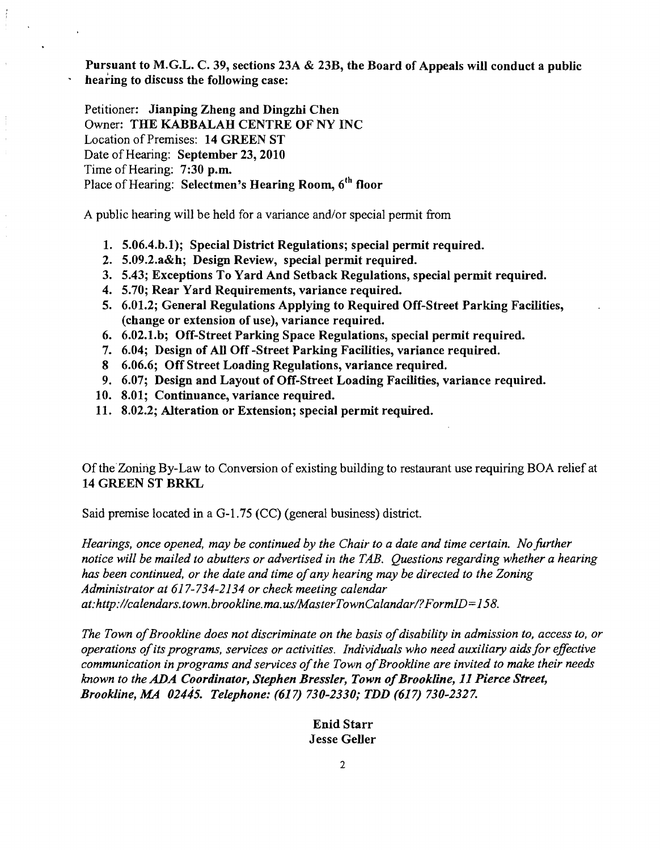Pursuant to M.G.L. C. 39, sections *23A* & 23B, the Board of Appeals will conduct a public hearing to discuss the following case:

Petitioner: Jianping Zheng and Dingzhi Chen Owner: THE KABBALAH CENTRE OF NY INC Location of Premises: 14 GREEN ST Date of Hearing: September 23, 2010 Time of Hearing: 7:30 p.m. Place of Hearing: Selectmen's Hearing Room, 6<sup>th</sup> floor

A public hearing will be held for a variance and/or special permit from

- 1. 5.06.4.b.1); Special District Regulations; special permit required.
- 2. 5.09.2.a&h; Design Review, special permit required.
- 3. 5.43; Exceptions To Yard And Setback Regulations, special permit required.
- 4. 5.70; Rear Yard Requirements, variance required.
- 5. 6.01.2; General Regulations Applying to Required Off-Street Parking Facilities, (change or extension of use), variance required.
- 6. 6.02.1.b; Off-Street Parking Space Regulations, special permit required.
- 7. 6.04; Design of All Off-Street Parking Facilities, variance required.
- 8 6.06.6; Off Street Loading Regulations, variance required.
- 9. 6.07; Design and Layout of Off-Street Loading Facilities, variance required.
- 10. 8.01; Continuance, variance required.
- 11. 8.02.2; Alteration or Extension; special permit required.

Of the Zoning By-Law to Conversion of existing building to restaurant use requiring BOA relief at 14 GREEN ST BRKL

Said premise located in a G-l.75 (CC) (general business) district.

Hearings, once opened, may be continued by the Chair to a date and time certain. No further *notice will be mailed to abutters or advertised in the TAB. Questions regarding whether a hearing has been continued, or the date and time ofany hearing may be directed to the Zoning Administrator at* 617-734-2134 *or check meeting calendar at:http://calendars.town.brookline.ma.usIMasterTownCalandarl?FormID=158.* 

The Town of Brookline does not discriminate on the basis of disability in admission to, access to, or *operations ofits programs, services or activities. Individuals who need auxiliary aids for effective*  communication in programs and services of the Town of Brookline are invited to make their needs *known to the ADA Coordinator, Stephen Bressler, Town of Brookline, 11 Pierce Street, Brookline, MA 02445. Telephone:* (617) *730-2330; TDD* (617) *730-2327.* 

> Enid Starr Jesse Geller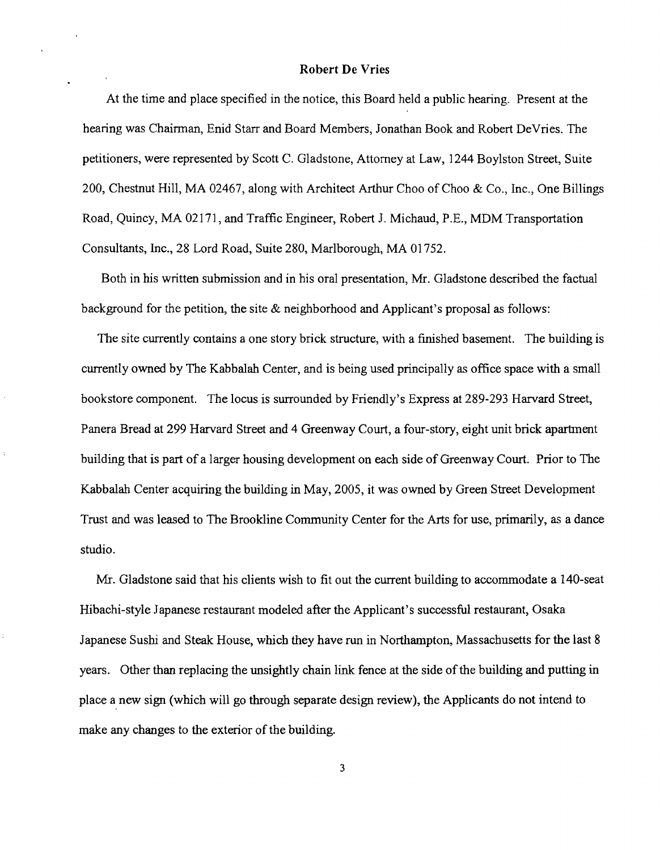## Robert De Vries

At the time and place specified in the notice, this Board held a public hearing. Present at the hearing was Chairman, Enid Starr and Board Members, Jonathan Book and Robert DeVries. The petitioners, were represented by Scott C. Gladstone, Attorney at Law, 1244 Boylston Street, Suite 200, Chestnut Hill, MA 02467, along with Architect Arthur Choo of Choo & Co., Inc., One Billings Road, Quincy, MA 02171, and Traffic Engineer, Robert 1. Michaud, P.E., MDM Transportation Consultants, Inc., 28 Lord Road, Suite 280, Marlborough, MA 01752.

Both in his written submission and in his oral presentation, Mr. Gladstone described the factual background for the petition, the site & neighborhood and Applicant's proposal as follows:

The site currently contains a one story brick structure, with a finished basement. The building is currently owned by The Kabbalah Center, and is being used principally as office space with a small bookstore component. The locus is surrounded by Friendly's Express at 289-293 Harvard Street, Panera Bread at 299 Harvard Street and 4 Greenway Court, a four-story, eight unit brick apartment building that is part of a larger housing development on each side of Greenway Court. Prior to The Kabbalah Center acquiring the building in May, 2005, it was owned by Green Street Development Trust and was leased to The Brookline Community Center for the Arts for use, primarily, as a dance studio.

Mr. Gladstone said that his clients wish to fit out the current building to accommodate a 140-seat Hibachi-style Japanese restaurant modeled after the Applicant's successful restaurant, Osaka Japanese Sushi and Steak House, which they have run in Northampton, Massachusetts for the last 8 years. Other than replacing the unsightly chain link fence at the side of the building and putting in place a new sign (which will go through separate design review), the Applicants do not intend to make any changes to the exterior of the building.

3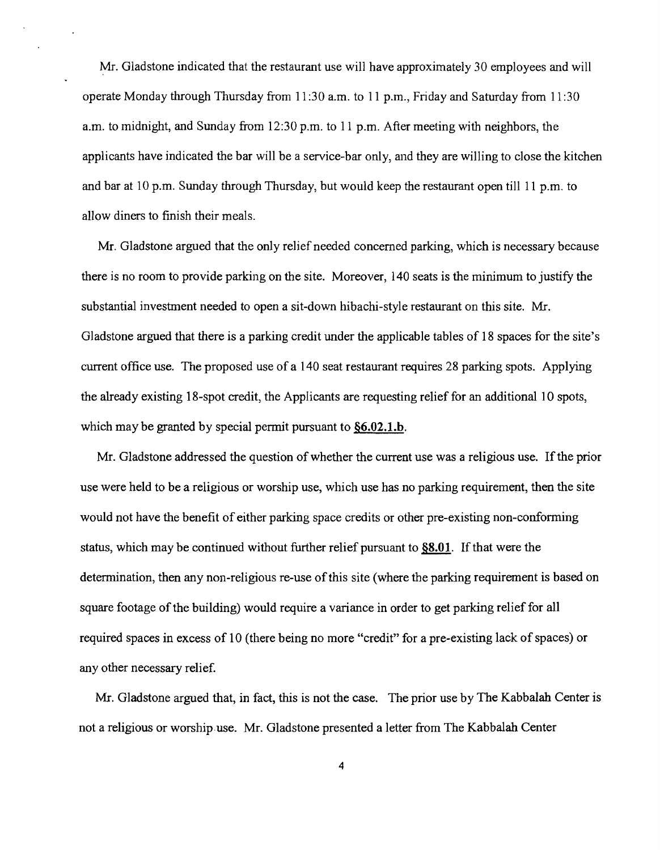Mr. Gladstone indicated that the restaurant use will have approximately 30 employees and will operate Monday through Thursday from 11 :30 a.m. to 11 p.m., Friday and Saturday from 11 :30 a.m. to midnight, and Sunday from 12:30 p.m. to 11 p.m. After meeting with neighbors, the applicants have indicated the bar will be a service-bar only, and they are willing to close the kitchen and bar at 10 p.m. Sunday through Thursday, but would keep the restaurant open till 11 p.m. to allow diners to finish their meals.

Mr. Gladstone argued that the only relief needed concerned parking, which is necessary because there is no room to provide parking on the site. Moreover, 140 seats is the minimum to justify the substantial investment needed to open a sit-down hibachi-style restaurant on this site. Mr. Gladstone argued that there is a parking credit under the applicable tables of 18 spaces for the site's current office use. The proposed use of a 140 seat restaurant requires 28 parking spots. Applying the already existing 18-spot credit, the Applicants are requesting relief for an additional 10 spots, which may be granted by special permit pursuant to §6.02.1.b.

Mr. Gladstone addressed the question of whether the current use was a religious use. If the prior use were held to be a religious or worship use, which use has no parking requirement, then the site would not have the benefit of either parking space credits or other pre-existing non-conforming status, which maybe continued without further relief pursuant to §8.01. If that were the determination, then any non-religious re-use of this site (where the parking requirement is based on square footage of the building) would require a variance in order to get parking relief for all required spaces in excess of 10 (there being no more "credit" for a pre-existing lack of spaces) or any other necessary relief.

Mr. Gladstone argued that, in fact, this is not the case. The prior use by The Kabbalah Center is not a religious or worship use. Mr. Gladstone presented a letter from The Kabbalah Center

4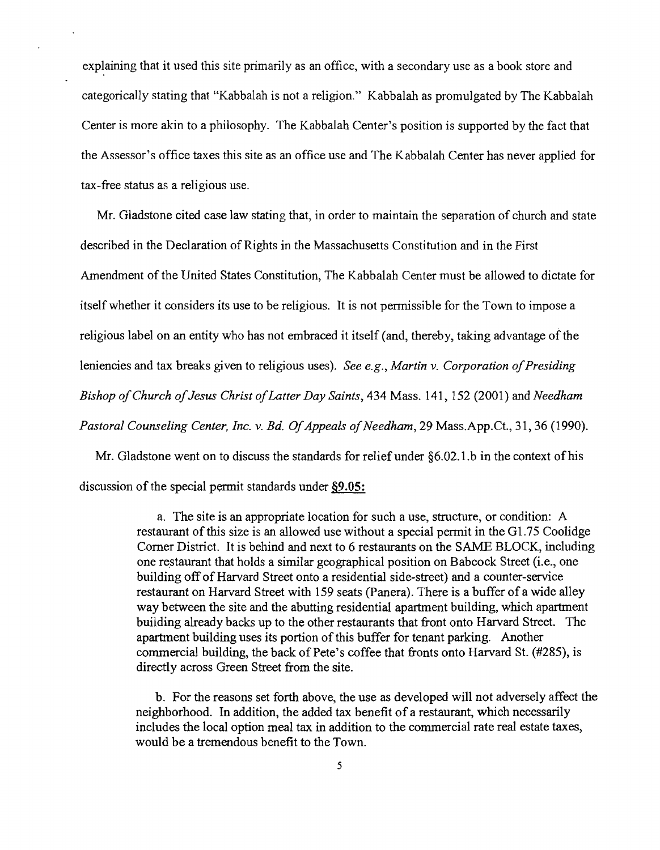explaining that it used this site primarily as an office, with a secondary use as a book store and categorically stating that "Kabbalah is not a religion." Kabbalah as promulgated by The Kabbalah Center is more akin to a philosophy. The Kabbalah Center's position is supported by the fact that the Assessor's office taxes this site as an office use and The Kabbalah Center has never applied for tax-free status as a religious use.

Mr. Gladstone cited case law stating that, in order to maintain the separation of church and state described in the Declaration of Rights in the Massachusetts Constitution and in the First Amendment of the United States Constitution, The Kabbalah Center must be allowed to dictate for itself whether it considers its use to be religious. It is not permissible for the Town to impose a religious label on an entity who has not embraced it itself (and, thereby, taking advantage of the leniencies and tax breaks given to religious uses). *See e.g., Martin v. Corporation of Presiding Bishop ofChurch ofJesus Christ ofLatter Day Saints,* 434 Mass. 141, 152 (2001) and *Needham Pastoral Counseling Center, Inc. v. Bd. Of Appeals of Needham, 29 Mass.App.Ct., 31, 36 (1990).* 

Mr. Gladstone went on to discuss the standards for relief under  $\S6.02.1$  b in the context of his discussion of the special permit standards under §9.05:

> a. The site is an appropriate location for such a use, structure, or condition: A restaurant of this size is an allowed use without a special permit in the Gl.75 Coolidge Corner District. It is behind and next to 6 restaurants on the SAME BLOCK, including one restaurant that holds a similar geographical position on Babcock Street (i.e., one building offofHarvard Street onto a residential side-street) and a counter-service restaurant on Harvard Street with 159 seats (Panera). There is a buffer of a wide alley way between the site and the abutting residential apartment building, which apartment building already backs up to the other restaurants that front onto Harvard Street. The apartment building uses its portion of this buffer for tenant parking. Another commercial building, the back of Pete's coffee that fronts onto Harvard St. (#285), is directly across Green Street from the site.

> b. For the reasons set forth above, the use as developed will not adversely affect the neighborhood. In addition, the added tax benefit of a restaurant, which necessarily includes the local option meal tax in addition to the commercial rate real estate taxes, would be a tremendous benefit to the Town.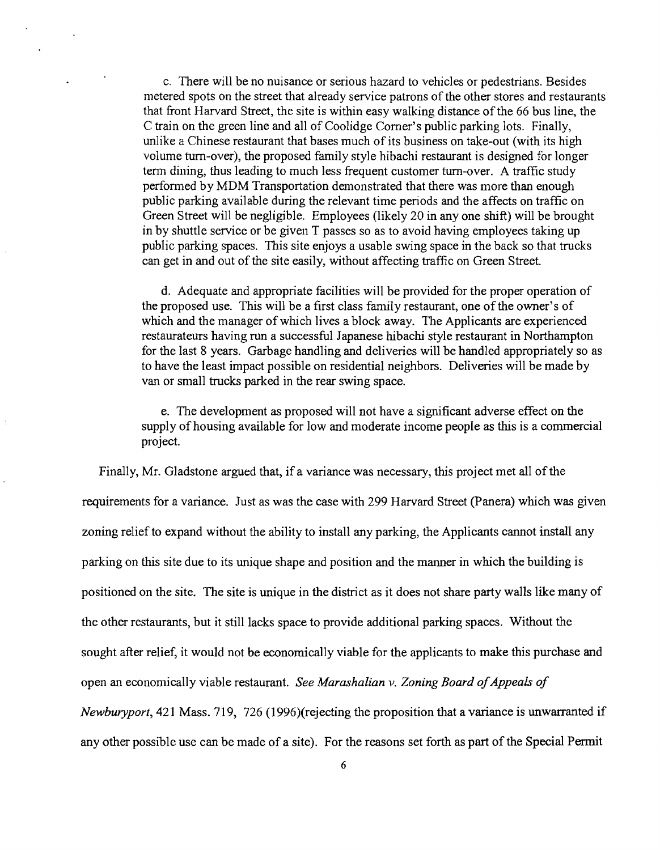c. There will be no nuisance or serious hazard to vehicles or pedestrians. Besides metered spots on the street that already service patrons of the other stores and restaurants that front Harvard Street, the site is within easy walking distance of the 66 bus line, the C train on the green line and all of Coolidge Comer's public parking lots. Finally, unlike a Chinese restaurant that bases much of its business on take-out (with its high volume tum-over), the proposed family style hibachi restaurant is designed for longer term dining, thus leading to much less frequent customer tum-over. A traffic study perfonned by MDM Transportation demonstrated that there was more than enough public parking available during the relevant time periods and the affects on traffic on Green Street will be negligible. Employees (likely 20 in anyone shift) will be brought in by shuttle service or be given T passes so as to avoid having employees taking up public parking spaces. This site enjoys a usable swing space in the back so that trucks can get in and out of the site easily, without affecting traffic on Green Street.

d. Adequate and appropriate facilities will be provided for the proper operation of the proposed use. This will be a first class family restaurant, one of the owner's of which and the manager of which lives a block away. The Applicants are experienced restaurateurs having run a successful Japanese hibachi style restaurant in Northampton for the last 8 years. Garbage handling and deliveries will be handled appropriately so as to have the least impact possible on residential neighbors. Deliveries will be made by van or small trucks parked in the rear swing space.

e. The development as proposed will not have a significant adverse effect on the supply of housing available for low and moderate income people as this is a commercial project.

Finally, Mr. Gladstone argued that, if a variance was necessary, this project met all of the requirements for a variance. Just as was the case with 299 Harvard Street (Panera) which was given zoning relief to expand without the ability to install any parking, the Applicants cannot install any parking on this site due to its unique shape and position and the manner in which the building is positioned on the site. The site is unique in the district as it does not share party walls like many of the other restaurants, but it still lacks space to provide additional parking spaces. Without the sought after relief, it would not be economically viable for the applicants to make this purchase and open an economically viable restaurant. *See Marashalian v. Zoning Board of Appeals of Newburyport,* 421 Mass. 719, 726 (1996)(rejecting the proposition that a variance is unwarranted if any other possible use can be made of a site). For the reasons set forth as part of the Special Permit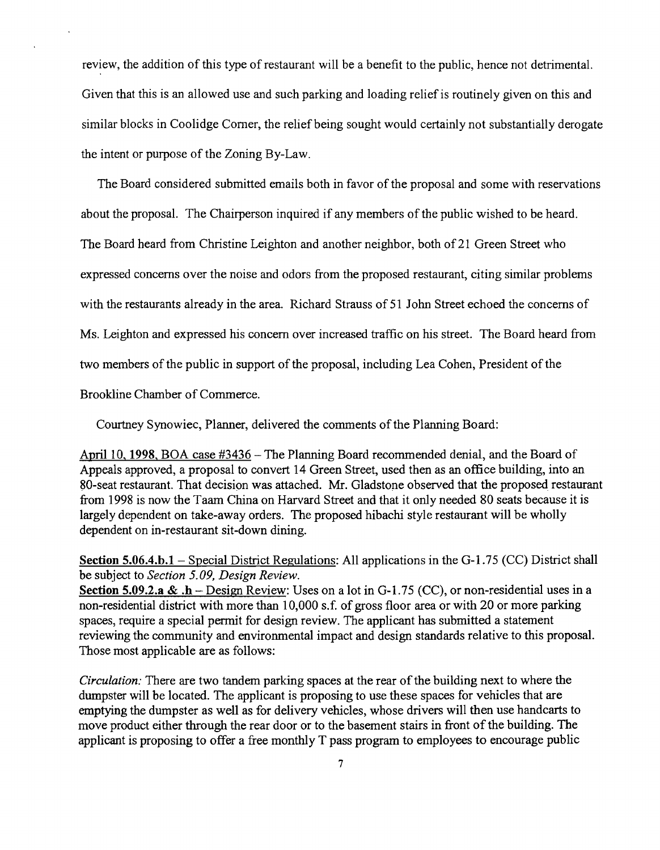review, the addition of this type of restaurant will be a benefit to the public, hence not detrimental. Given that this is an allowed use and such parking and loading relief is routinely given on this and similar blocks in Coolidge Comer, the relief being sought would certainly not substantially derogate the intent or purpose of the Zoning By-Law.

The Board considered submitted emails both in favor of the proposal and some with reservations about the proposal. The Chairperson inquired if any members of the public wished to be heard. The Board heard from Christine Leighton and another neighbor, both of 21 Green Street who expressed concerns over the noise and odors from the proposed restaurant, citing similar problems with the restaurants already in the area. Richard Strauss of 51 John Street echoed the concerns of Ms. Leighton and expressed his concern over increased traffic on his street. The Board heard from two members of the public in support of the proposal, including Lea Cohen, President of the

Brookline Chamber of Commerce.

Courtney Synowiec, Planner, delivered the comments of the Planning Board:

April 10, **1998,** BOA case #3436 - The Planning Board recommended denial, and the Board of Appeals approved, a proposal to convert 14 Green Street, used then as an office building, into an 80-seat restaurant. That decision was attached. Mr. Gladstone observed that the proposed restaurant from 1998 is now the Taam China on Harvard Street and that it only needed 80 seats because it is largely dependent on take-away orders. The proposed hibachi style restaurant will be wholly dependent on in-restaurant sit-down dining.

**Section 5.06.4.b.1** – Special District Regulations: All applications in the G-1.75 (CC) District shall be subject to *Section 5.09, Design Review.* 

**Section 5.09.2.3 & .h** - Design Review: Uses on a lot in G-l. 75 (CC), or non-residential uses in a non-residential district with more than 10,000 s.f. of gross floor area or with 20 or more parking spaces, require a special permit for design review. The applicant has submitted a statement reviewing the community and environmental impact and design standards relative to this proposal. Those most applicable are as follows:

*Circulation:* There are two tandem parking spaces at the rear of the building next to where the dumpster will be located. The applicant is proposing to use these spaces for vehicles that are emptying the dumpster as well as for delivery vehicles, whose drivers will then use handcarts to move product either through the rear door or to the basement stairs in front of the building. The applicant is proposing to offer a free monthly T pass program to employees to encourage public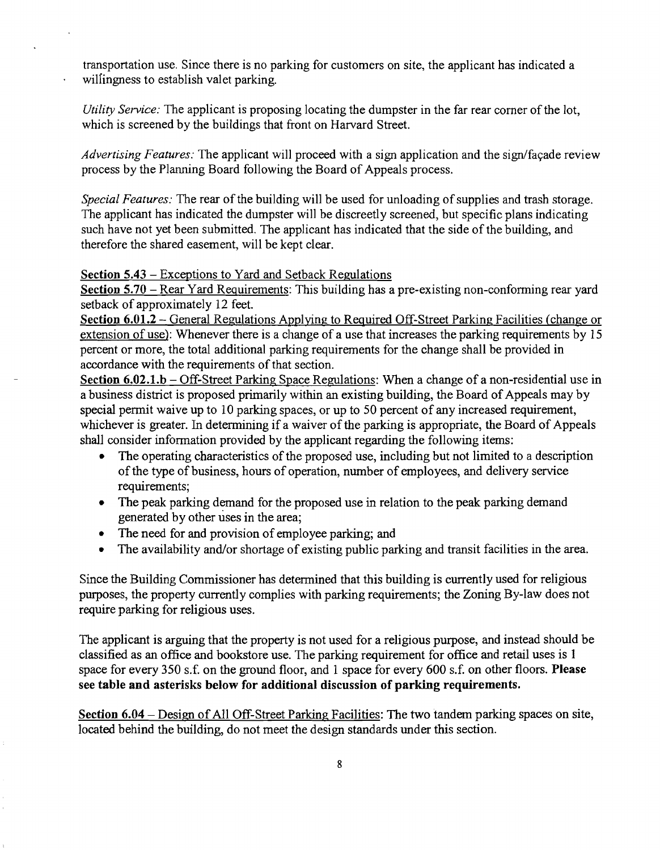transportation use. Since there is no parking for customers on site, the applicant has indicated a wilfingness to establish valet parking.

*Utility Service:* The applicant is proposing locating the dumpster in the far rear corner of the lot, which is screened by the buildings that front on Harvard Street.

*Advertising Features:* The applicant will proceed with a sign application and the sign/fayade review process by the Planning Board following the Board of Appeals process.

*Special Features:* The rear of the building will be used for unloading of supplies and trash storage. The applicant has indicated the dumpster will be discreetly screened, but specific plans indicating such have not yet been submitted. The applicant has indicated that the side of the building, and therefore the shared easement, will be kept clear.

## Section 5.43 - Exceptions to Yard and Setback Regulations

Section 5.70 - Rear Yard Requirements: This building has a pre-existing non-conforming rear yard setback of approximately 12 feet.

Section 6.01.2 - General Regulations Applying to Required Off-Street Parking Facilities (change or extension of use): Whenever there is a change of a use that increases the parking requirements by 15 percent or more, the total additional parking requirements for the change shall be provided in accordance with the requirements of that section.

Section  $6.02.1.b - Off-Street Parking Space Regulations$ : When a change of a non-residential use in a business district is proposed primarily within an existing building, the Board of Appeals may by special permit waive up to 10 parking spaces, or up to 50 percent of any increased requirement, whichever is greater. In determining if a waiver of the parking is appropriate, the Board of Appeals shall consider information provided by the applicant regarding the following items:

- The operating characteristics of the proposed use, including but not limited to a description ofthe type of business, hours of operation, number of employees, and delivery service requirements;
- The peak parking demand for the proposed use in relation to the peak parking demand generated by other uses in the area;
- The need for and provision of employee parking; and
- The availability and/or shortage of existing public parking and transit facilities in the area.

Since the Building Commissioner has determined that this building is currently used for religious purposes, the property currently complies with parking requirements; the Zoning By-law does not require parking for religious uses.

The applicant is arguing that the property is not used for a religious purpose, and instead should be classified as an office and bookstore use. The parking requirement for office and retail uses is 1 space for every 350 s.f. on the ground floor, and 1 space for every 600 s.f. on other floors. Please see table and asterisks below for additional discussion of parking requirements.

Section 6.04 - Design of All Off-Street Parking Facilities: The two tandem parking spaces on site, located behind the building, do not meet the design standards under this section.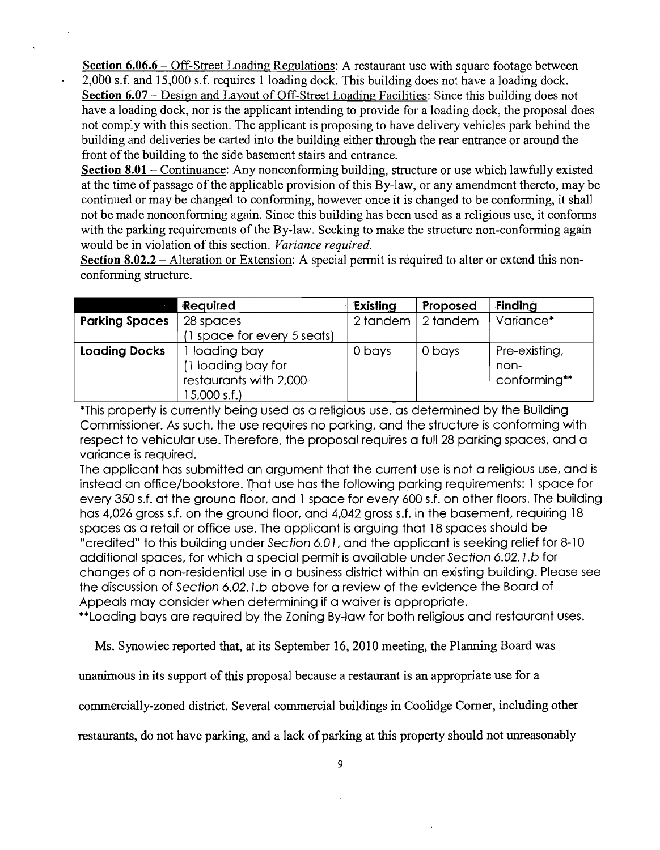Section 6.06.6 - Off-Street Loading Regulations: A restaurant use with square footage between 2,000 s.f. and 15,000 s.f. requires 1 loading dock. This building does not have a loading dock. Section 6.07 - Design and Layout of Off-Street Loading Facilities: Since this building does not have a loading dock, nor is the applicant intending to provide for a loading dock, the proposal does not comply with this section. The applicant is proposing to have delivery vehicles park behind the building and deliveries be carted into the building either through the rear entrance or around the front of the building to the side basement stairs and entrance.

Section 8.01 – Continuance: Any nonconforming building, structure or use which lawfully existed at the time of passage of the applicable provision of this By-law, or any amendment thereto, may be continued or may be changed to conforming, however once it is changed to be conforming, it shall not be made nonconforming again. Since this building has been used as a religious use, it conforms with the parking requirements of the By-law. Seeking to make the structure non-conforming again would be in violation of this section. *Variance required.* 

Section 8.02.2 – Alteration or Extension: A special permit is required to alter or extend this nonconforming structure.

|                       | Required                 | Existing | Proposed | Finding       |
|-----------------------|--------------------------|----------|----------|---------------|
| <b>Parking Spaces</b> | 28 spaces                | 2 tandem | 2 tandem | Variance*     |
|                       | space for every 5 seats) |          |          |               |
| <b>Loading Docks</b>  | loading bay              | 0 bays   | 0 bays   | Pre-existing, |
|                       | 1 loading bay for        |          |          | non-          |
|                       | restaurants with 2,000-  |          |          | conforming**  |
|                       | 15,000 s.f.)             |          |          |               |

\*This property is currently being used as a religious use, as determined by the Building Commissioner. As such, the use requires no parking, and the structure is conforming with respect to vehicular use. Therefore, the proposal requires a full 28 parking spaces, and a variance is required.

The applicant has submitted an argument that the current use is not a religious use, and is instead an office/bookstore. That use has the following parking requirements: 1 space for every 350 s.f. at the ground Floor, and 1 space for every 600 s.f. on other floors. The building has 4,026 gross s.f. on the ground floor, and 4,042 gross s.f. in the basement, requiring 18 spaces as a retail or office use. The applicant is arguing that 18 spaces should be "credited" to this building under Section 6.0 I, and the applicant is seeking relief for 8-10 additional spaces, for which a special permit is available under Section 6.02. I.b for changes of a non-residential use in a business district within an existing building. Please see the discussion of Section 6.02. I.b above for a review of the evidence the Board of Appeals may consider when determining if a waiver is appropriate.

\*\*Loading bays are required by the Zoning By-law for both religious and restaurant uses.

Ms. Synowiec reported that, at its September 16,2010 meeting, the Planning Board was

unanimous in its support of this proposal because a restaurant is an appropriate use for a

commercially-zoned district. Several commercial buildings in Coolidge Corner, including other

restaurants, do not have parking, and a lack of parking at this property should not unreasonably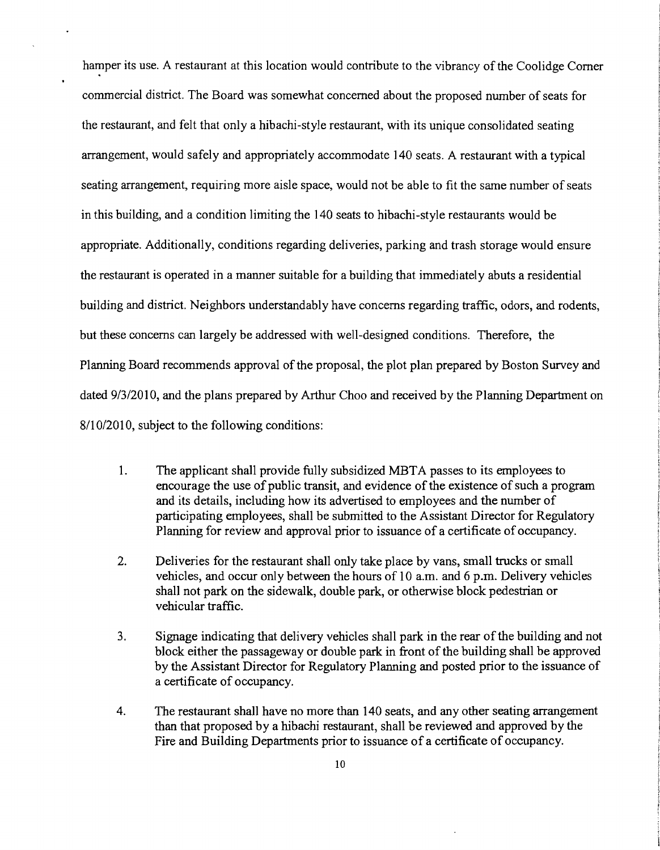hamper its use. A restaurant at this location would contribute to the vibrancy of the Coolidge Corner commercial district. The Board was somewhat concerned about the proposed number of seats for the restaurant, and felt that only a hibachi-style restaurant, with its unique consolidated seating arrangement, would safely and appropriately accommodate 140 seats. A restaurant with a typical seating arrangement, requiring more aisle space, would not be able to fit the same number of seats in this building, and a condition limiting the 140 seats to hibachi-style restaurants would be appropriate. Additionally, conditions regarding deliveries, parking and trash storage would ensure the restaurant is operated in a manner suitable for a building that immediately abuts a residential building and district. Neighbors understandably have concerns regarding traffic, odors, and rodents, but these concerns can largely be addressed with well-designed conditions. Therefore, the Planning Board recommends approval of the proposal, the plot plan prepared by Boston Survey and dated 9/3/2010, and the plans prepared by Arthur Choo and received by the Planning Department on 8/10/2010, subject to the following conditions:

- 1. The applicant shall provide fully subsidized MBTA passes to its employees to encourage the use of public transit, and evidence of the existence of such a program and its details, including how its advertised to employees and the number of participating employees, shall be submitted to the Assistant Director for Regulatory Planning for review and approval prior to issuance of a certificate of occupancy.
- 2. Deliveries for the restaurant shall only take place by vans, small trucks or small vehicles, and occur only between the hours of 10 a.m. and 6 p.m. Delivery vehicles shall not park on the sidewalk, double park, or otherwise block pedestrian or vehicular traffic.
- 3. Signage indicating that delivery vehicles shall park in the rear of the building and not block either the passageway or double park in front of the building shall be approved by the Assistant Director for Regulatory Planning and posted prior to the issuance of a certificate of occupancy.
- 4. The restaurant shall have no more than 140 seats, and any other seating arrangement than that proposed by a hibachi restaurant, shall be reviewed and approved by the Fire and Building Departments prior to issuance of a certificate of occupancy.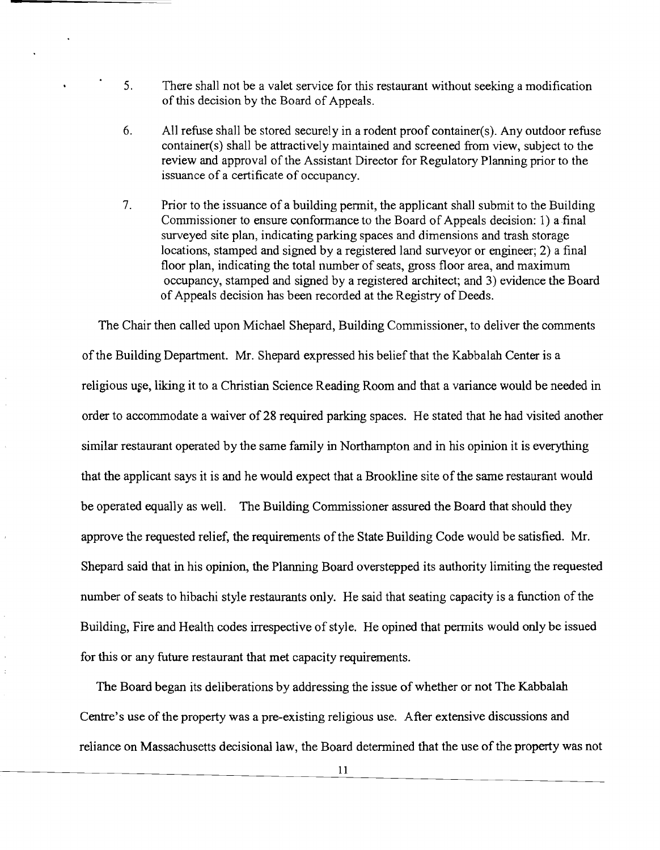- 5. There shall not be a valet service for this restaurant without seeking a modification of this decision by the Board of Appeals.
- 6. All refuse shall be stored securely in a rodent proof container(s). Any outdoor refuse container(s) shall be attractively maintained and screened from view, subject to the review and approval of the Assistant Director for Regulatory Planning prior to the issuance of a certificate of occupancy.
- 7. Prior to the issuance of a building permit, the applicant shall submit to the Building Commissioner to ensure conformance to the Board of Appeals decision: 1) a final surveyed site plan, indicating parking spaces and dimensions and trash storage locations, stamped and signed by a registered land surveyor or engineer; 2) a final floor plan, indicating the total number of seats, gross floor area, and maximum occupancy, stamped and signed by a registered architect; and 3) evidence the Board of Appeals decision has been recorded at the Registry of Deeds.

The Chair then called upon Michael Shepard, Building Commissioner, to deliver the comments ofthe Building Department. Mr. Shepard expressed his belief that the Kabbalah Center is a religious use, liking it to a Christian Science Reading Room and that a variance would be needed in order to accommodate a waiver of 28 required parking spaces. He stated that he had visited another similar restaurant operated by the same family in Northampton and in his opinion it is everything that the applicant says it is and he would expect that a Brookline site of the same restaurant would be operated equally as well. The Building Commissioner assured the Board that should they approve the requested relief, the requirements of the State Building Code would be satisfied. Mr. Shepard said that in his opinion, the Planning Board overstepped its authority limiting the requested number of seats to hibachi style restaurants only. He said that seating capacity is a function of the Building, Fire and Health codes irrespective of style. He opined that pennits would only be issued for this or any future restaurant that met capacity requirements.

The Board began its deliberations by addressing the issue of whether or not The Kabbalah Centre's use of the property was a pre-existing religious use. After extensive discussions and reliance on Massachusetts decisional law, the Board determined that the use of the property was not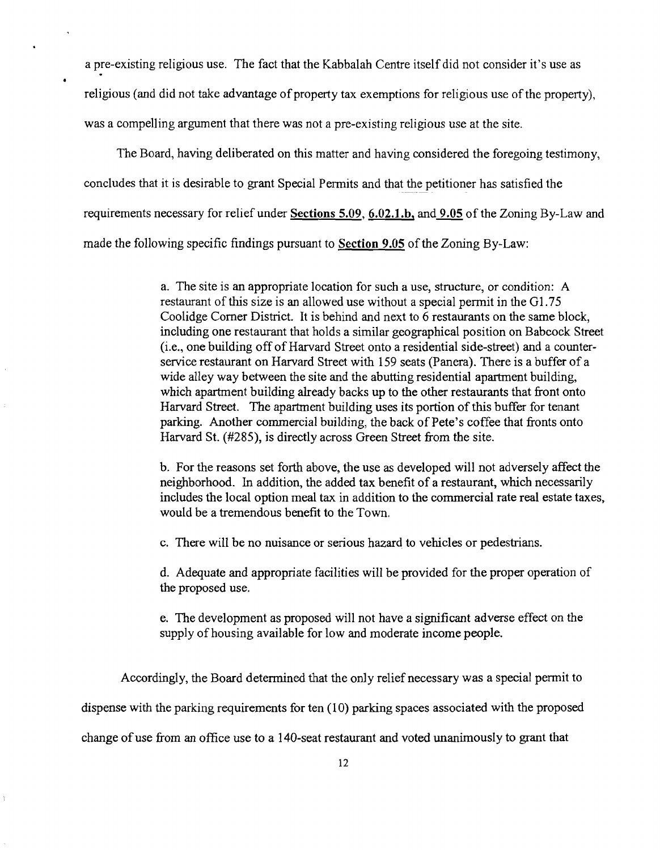a pre-existing religious use. The fact that the Kabbalah Centre itself did not consider it's use as religious (and did not take advantage of property tax exemptions for religious use of the property), was a compelling argument that there was not a pre-existing religious use at the site.

The Board, having deliberated on this matter and having considered the foregoing testimony, concludes that it is desirable to grant Special Permits and that the petitioner has satisfied the requirements necessary for relief under Sections 5.09, 6.02.1.b, and 9.05 of the Zoning By-Law and made the following specific findings pursuant to Section 9.05 of the Zoning By-Law:

> a. The site is an appropriate location for such a use, structure, or condition: A restaurant of this size is an allowed use without a special permit in the G1.75 Coolidge Corner District. It is behind and next to 6 restaurants on the same block, including one restaurant that holds a similar geographical position on Babcock Street (i.e., one building off of Harvard Street onto a residential side-street) and a counterservice restaurant on Harvard Street with 159 seats (Panera). There is a buffer of a wide alley way between the site and the abutting residential apartment building, which apartment building already backs up to the other restaurants that front onto Harvard Street. The apartment building uses its portion of this buffer for tenant parking. Another commercial building, the back of Pete's coffee that fronts onto Harvard St. (#285), is directly across Green Street from the site.

> b. For the reasons set forth above, the use as developed will not adversely affect the neighborhood. In addition, the added tax benefit of a restaurant, which necessarily includes the local option meal tax in addition to the commercial rate real estate taxes, would be a tremendous benefit to the Town.

c. There will be no nuisance or serious hazard to vehicles or pedestrians.

d. Adequate and appropriate facilities will be provided for the proper operation of the proposed use.

e. The development as proposed will not have a significant adverse effect on the supply of housing available for low and moderate income people.

Accordingly, the Board determined that the only relief necessary was a special permit to

dispense with the parking requirements for ten (10) parking spaces associated with the proposed

change of use from an office use to a 140-seat restaurant and voted unanimously to grant that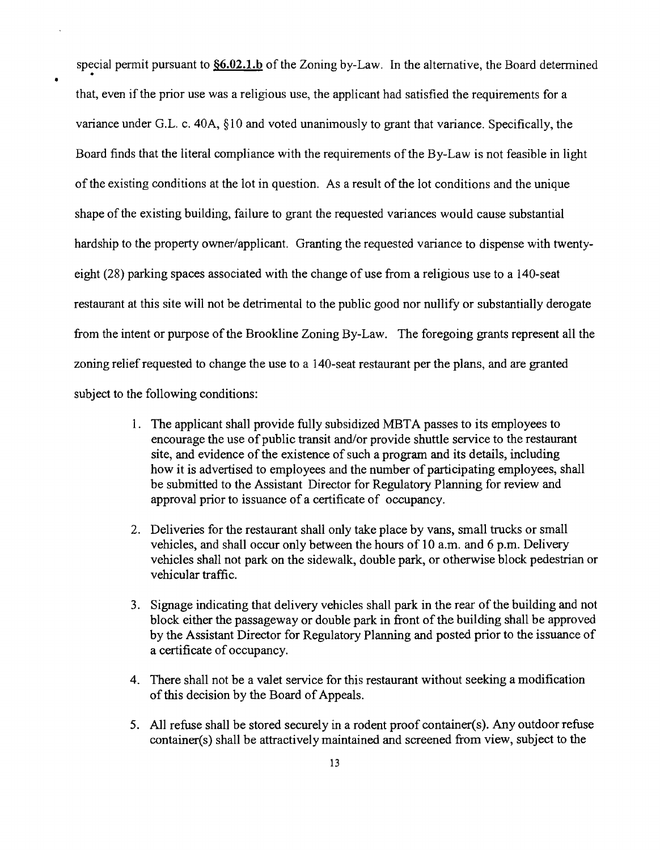special permit pursuant to  $\S6.02.1.b$  of the Zoning by-Law. In the alternative, the Board determined that, even if the prior use was a religious use, the applicant had satisfied the requirements for a variance under G.L. c. 40A, §10 and voted unanimously to grant that variance. Specifically, the Board finds that the literal compliance with the requirements of the By-Law is not feasible in light of the existing conditions at the lot in question. As a result of the lot conditions and the unique shape of the existing building, failure to grant the requested variances would cause substantial hardship to the property owner/applicant. Granting the requested variance to dispense with twentyeight (28) parking spaces associated with the change of use from a religious use to a 140-seat restaurant at this site will not be detrimental to the public good nor nullify or substantially derogate from the intent or purpose of the Brookline Zoning By-Law. The foregoing grants represent all the zoning relief requested to change the use to a 140-seat restaurant per the plans, and are granted subject to the following conditions:

- 1. The applicant shall provide fully subsidized MBTA passes to its employees to encourage the use of public transit and/or provide shuttle service to the restaurant site, and evidence of the existence of such a program and its details, including how it is advertised to employees and the number of participating employees, shall be submitted to the Assistant Director for Regulatory Planning for review and approval prior to issuance of a certificate of occupancy.
- 2. Deliveries for the restaurant shall only take place by vans, small trucks or small vehicles, and shall occur only between the hours of 10 a.m. and 6 p.m. Delivery vehicles shall not park on the sidewalk, double park, or otherwise block pedestrian or vehicular traffic.
- 3. Signage indicating that delivery vehicles shall park in the rear of the building and not block either the passageway or double park in front of the building shall be approved by the Assistant Director for Regulatory Planning and posted prior to the issuance of a certificate of occupancy.
- 4. There shall not be a valet service for this restaurant without seeking a modification of this decision by the Board of Appeals.
- 5. All refuse shall be stored securely in a rodent proof container(s). Any outdoor refuse container(s) shall be attractively maintained and screened from view, subject to the